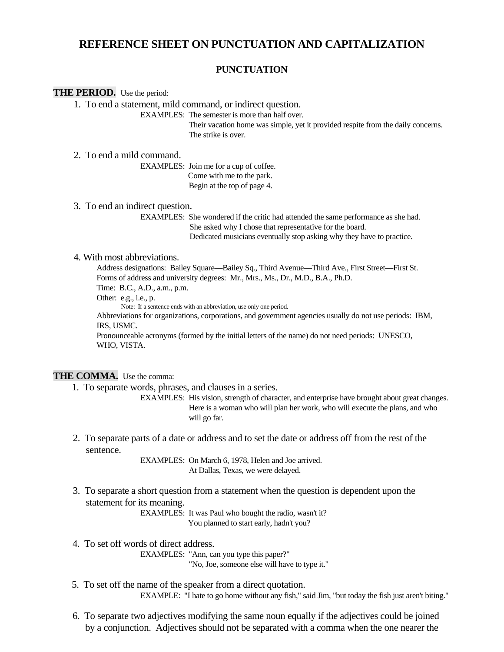# **REFERENCE SHEET ON PUNCTUATION AND CAPITALIZATION**

### **PUNCTUATION**

#### **THE PERIOD.** Use the period:

1. To end a statement, mild command, or indirect question.

EXAMPLES: The semester is more than half over.

 Their vacation home was simple, yet it provided respite from the daily concerns. The strike is over.

#### 2. To end a mild command.

 EXAMPLES: Join me for a cup of coffee. Come with me to the park. Begin at the top of page 4.

#### 3. To end an indirect question.

 EXAMPLES: She wondered if the critic had attended the same performance as she had. She asked why I chose that representative for the board. Dedicated musicians eventually stop asking why they have to practice.

#### 4. With most abbreviations.

Address designations: Bailey Square—Bailey Sq., Third Avenue—Third Ave., First Street—First St. Forms of address and university degrees: Mr., Mrs., Ms., Dr., M.D., B.A., Ph.D. Time: B.C., A.D., a.m., p.m.

Other: e.g., i.e., p.

Note: If a sentence ends with an abbreviation, use only one period.

 Abbreviations for organizations, corporations, and government agencies usually do not use periods: IBM, IRS, USMC.

 Pronounceable acronyms (formed by the initial letters of the name) do not need periods: UNESCO, WHO, VISTA.

### THE COMMA. Use the comma:

1. To separate words, phrases, and clauses in a series.

 EXAMPLES: His vision, strength of character, and enterprise have brought about great changes. Here is a woman who will plan her work, who will execute the plans, and who will go far.

2. To separate parts of a date or address and to set the date or address off from the rest of the sentence.

> EXAMPLES: On March 6, 1978, Helen and Joe arrived. At Dallas, Texas, we were delayed.

3. To separate a short question from a statement when the question is dependent upon the statement for its meaning.

 EXAMPLES: It was Paul who bought the radio, wasn't it? You planned to start early, hadn't you?

- 4. To set off words of direct address. EXAMPLES: "Ann, can you type this paper?" "No, Joe, someone else will have to type it."
- 5. To set off the name of the speaker from a direct quotation. EXAMPLE: "I hate to go home without any fish," said Jim, "but today the fish just aren't biting."
- 6. To separate two adjectives modifying the same noun equally if the adjectives could be joined by a conjunction. Adjectives should not be separated with a comma when the one nearer the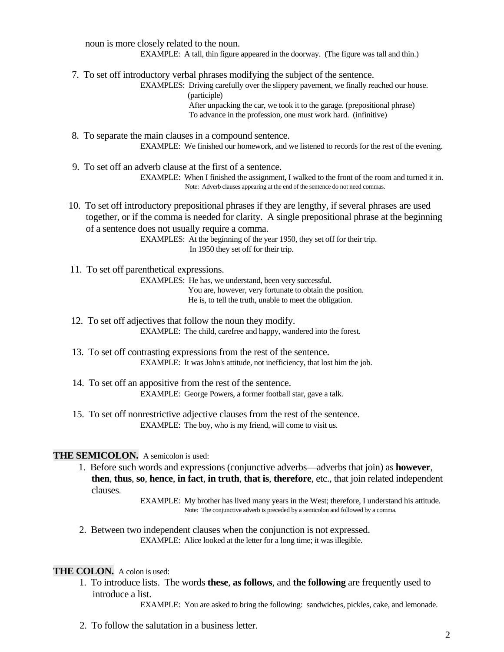noun is more closely related to the noun. EXAMPLE: A tall, thin figure appeared in the doorway. (The figure was tall and thin.)

7. To set off introductory verbal phrases modifying the subject of the sentence.

EXAMPLES: Driving carefully over the slippery pavement, we finally reached our house. (participle)

> After unpacking the car, we took it to the garage. (prepositional phrase) To advance in the profession, one must work hard. (infinitive)

8. To separate the main clauses in a compound sentence. EXAMPLE: We finished our homework, and we listened to records for the rest of the evening.

- 9. To set off an adverb clause at the first of a sentence. EXAMPLE: When I finished the assignment, I walked to the front of the room and turned it in. Note: Adverb clauses appearing at the end of the sentence do not need commas.
- 10. To set off introductory prepositional phrases if they are lengthy, if several phrases are used together, or if the comma is needed for clarity. A single prepositional phrase at the beginning of a sentence does not usually require a comma.

EXAMPLES: At the beginning of the year 1950, they set off for their trip. In 1950 they set off for their trip.

11. To set off parenthetical expressions.

EXAMPLES: He has, we understand, been very successful.

You are, however, very fortunate to obtain the position. He is, to tell the truth, unable to meet the obligation.

- 12. To set off adjectives that follow the noun they modify. EXAMPLE: The child, carefree and happy, wandered into the forest.
- 13. To set off contrasting expressions from the rest of the sentence. EXAMPLE: It was John's attitude, not inefficiency, that lost him the job.
- 14. To set off an appositive from the rest of the sentence. EXAMPLE: George Powers, a former football star, gave a talk.
- 15. To set off nonrestrictive adjective clauses from the rest of the sentence. EXAMPLE: The boy, who is my friend, will come to visit us.

### **THE SEMICOLON.** A semicolon is used:

1. Before such words and expressions (conjunctive adverbs—adverbs that join) as **however**, **then**, **thus**, **so**, **hence**, **in fact**, **in truth**, **that is**, **therefore**, etc., that join related independent clauses.

> EXAMPLE: My brother has lived many years in the West; therefore, I understand his attitude. Note: The conjunctive adverb is preceded by a semicolon and followed by a comma.

2. Between two independent clauses when the conjunction is not expressed. EXAMPLE: Alice looked at the letter for a long time; it was illegible.

### **THE COLON.** A colon is used:

1. To introduce lists. The words **these**, **as follows**, and **the following** are frequently used to introduce a list.

EXAMPLE: You are asked to bring the following: sandwiches, pickles, cake, and lemonade.

2. To follow the salutation in a business letter.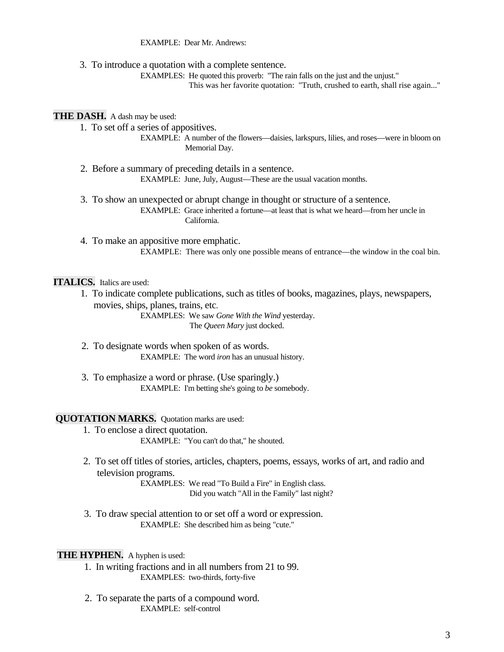EXAMPLE: Dear Mr. Andrews:

3. To introduce a quotation with a complete sentence.

EXAMPLES: He quoted this proverb: "The rain falls on the just and the unjust."

This was her favorite quotation: "Truth, crushed to earth, shall rise again..."

### **THE DASH.** A dash may be used:

1. To set off a series of appositives.

EXAMPLE: A number of the flowers—daisies, larkspurs, lilies, and roses—were in bloom on Memorial Day.

- 2. Before a summary of preceding details in a sentence. EXAMPLE: June, July, August—These are the usual vacation months.
- 3. To show an unexpected or abrupt change in thought or structure of a sentence. EXAMPLE: Grace inherited a fortune—at least that is what we heard—from her uncle in California.

4. To make an appositive more emphatic. EXAMPLE: There was only one possible means of entrance—the window in the coal bin.

## **ITALICS.** Italics are used:

1. To indicate complete publications, such as titles of books, magazines, plays, newspapers, movies, ships, planes, trains, etc.

> EXAMPLES: We saw *Gone With the Wind* yesterday. The *Queen Mary* just docked.

- 2. To designate words when spoken of as words. EXAMPLE: The word *iron* has an unusual history.
- 3. To emphasize a word or phrase. (Use sparingly.) EXAMPLE: I'm betting she's going to *be* somebody.

#### **QUOTATION MARKS.** Ouotation marks are used:

- 1. To enclose a direct quotation. EXAMPLE: "You can't do that," he shouted.
- 2. To set off titles of stories, articles, chapters, poems, essays, works of art, and radio and television programs.

EXAMPLES: We read "To Build a Fire" in English class. Did you watch "All in the Family" last night?

3. To draw special attention to or set off a word or expression. EXAMPLE: She described him as being "cute."

### **THE HYPHEN.** A hyphen is used:

- 1. In writing fractions and in all numbers from 21 to 99. EXAMPLES: two-thirds, forty-five
	- 2. To separate the parts of a compound word. EXAMPLE: self-control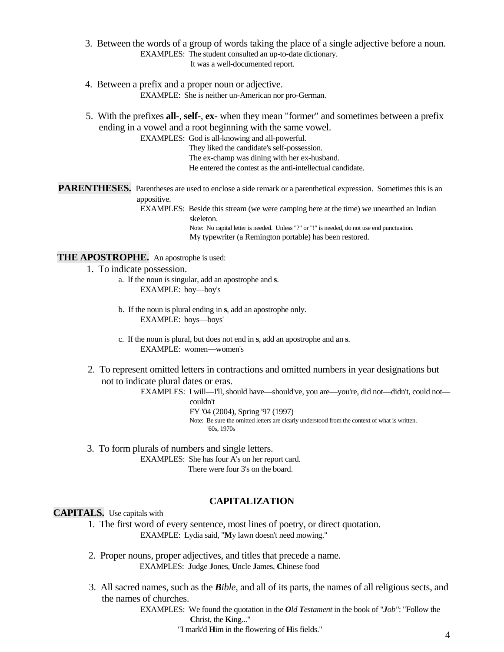- 3. Between the words of a group of words taking the place of a single adjective before a noun. EXAMPLES: The student consulted an up-to-date dictionary. It was a well-documented report.
- 4. Between a prefix and a proper noun or adjective. EXAMPLE: She is neither un-American nor pro-German.
- 5. With the prefixes **all-**, **self-**, **ex-** when they mean "former" and sometimes between a prefix ending in a vowel and a root beginning with the same vowel.

EXAMPLES: God is all-knowing and all-powerful.

They liked the candidate's self-possession. The ex-champ was dining with her ex-husband. He entered the contest as the anti-intellectual candidate.

PARENTHESES. Parentheses are used to enclose a side remark or a parenthetical expression. Sometimes this is an appositive.

EXAMPLES: Beside this stream (we were camping here at the time) we unearthed an Indian skeleton. Note: No capital letter is needed. Unless "?" or "!" is needed, do not use end punctuation. My typewriter (a Remington portable) has been restored.

**THE APOSTROPHE.** An apostrophe is used:

- 1. To indicate possession.
	- a. If the noun is singular, add an apostrophe and **s**. EXAMPLE: boy—boy's
		- b. If the noun is plural ending in **s**, add an apostrophe only. EXAMPLE: boys—boys'
		- c. If the noun is plural, but does not end in **s**, add an apostrophe and an **s**. EXAMPLE: women—women's
- 2. To represent omitted letters in contractions and omitted numbers in year designations but not to indicate plural dates or eras.

EXAMPLES: I will—I'll, should have—should've, you are—you're, did not—didn't, could not couldn't

FY '04 (2004), Spring '97 (1997)

Note: Be sure the omitted letters are clearly understood from the context of what is written. '60s, 1970s

3. To form plurals of numbers and single letters. EXAMPLES: She has four A's on her report card. There were four 3's on the board.

#### **CAPITALIZATION**

# **CAPITALS.** Use capitals with

- 1. The first word of every sentence, most lines of poetry, or direct quotation. EXAMPLE: Lydia said, "**M**y lawn doesn't need mowing."
- 2. Proper nouns, proper adjectives, and titles that precede a name. EXAMPLES: **J**udge **J**ones, **U**ncle **J**ames, **C**hinese food
- 3. All sacred names, such as the *Bible*, and all of its parts, the names of all religious sects, and the names of churches.

EXAMPLES: We found the quotation in the *Old Testament* in the book of "*Job"*: "Follow the **C**hrist, the **K**ing..."

"I mark'd **<sup>H</sup>**im in the flowering of **<sup>H</sup>**is fields." 4